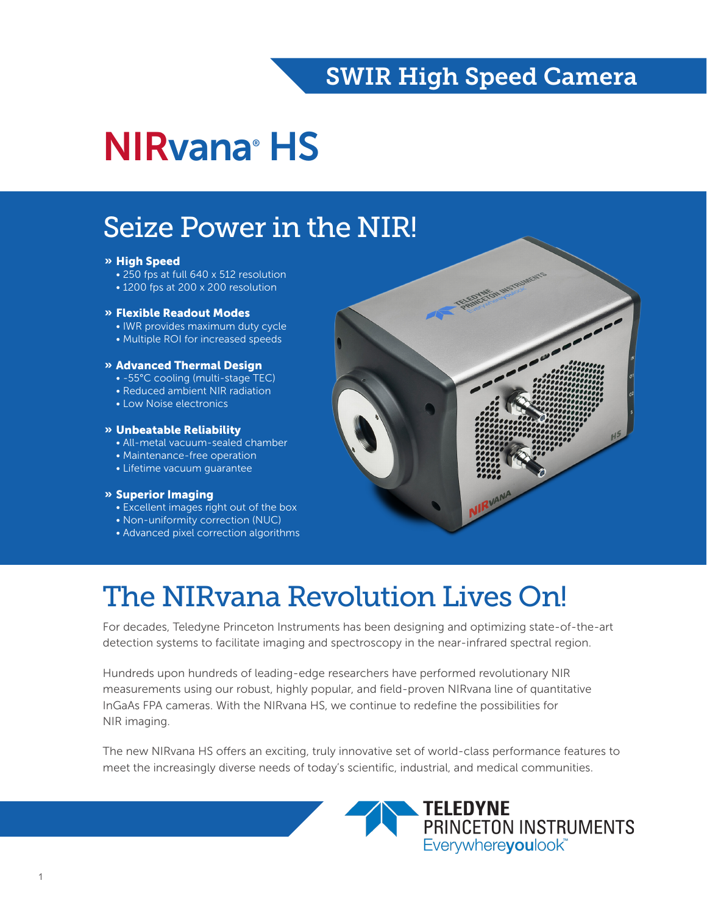### SWIR High Speed Camera

# NIRvana® HS

## Seize Power in the NIR!

#### » High Speed

- 250 fps at full 640 x 512 resolution
- 1200 fps at 200 x 200 resolution

#### » Flexible Readout Modes

- IWR provides maximum duty cycle
- Multiple ROI for increased speeds

#### » Advanced Thermal Design

- -55°C cooling (multi-stage TEC)
- Reduced ambient NIR radiation
- Low Noise electronics

#### » Unbeatable Reliability

- All-metal vacuum-sealed chamber
- Maintenance-free operation
- Lifetime vacuum guarantee

#### » Superior Imaging

- Excellent images right out of the box
- Non-uniformity correction (NUC)
- Advanced pixel correction algorithms



# The NIRvana Revolution Lives On!

For decades, Teledyne Princeton Instruments has been designing and optimizing state-of-the-art detection systems to facilitate imaging and spectroscopy in the near-infrared spectral region.

Hundreds upon hundreds of leading-edge researchers have performed revolutionary NIR measurements using our robust, highly popular, and field-proven NIRvana line of quantitative InGaAs FPA cameras. With the NIRvana HS, we continue to redefine the possibilities for NIR imaging.

The new NIRvana HS offers an exciting, truly innovative set of world-class performance features to meet the increasingly diverse needs of today's scientific, industrial, and medical communities.